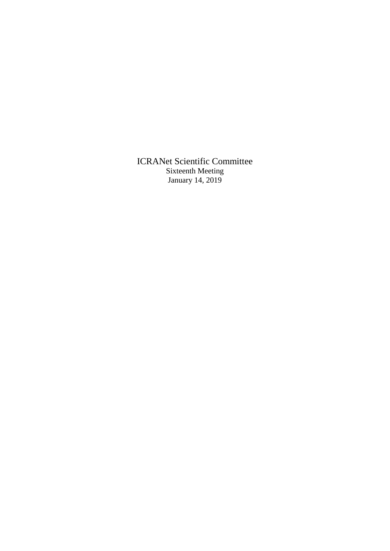ICRANet Scientific Committee Sixteenth Meeting January 14, 2019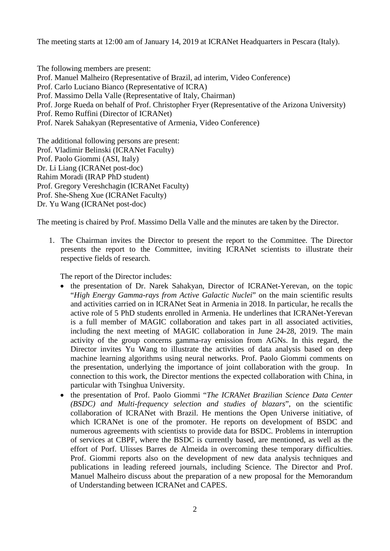The meeting starts at 12:00 am of January 14, 2019 at ICRANet Headquarters in Pescara (Italy).

The following members are present: Prof. Manuel Malheiro (Representative of Brazil, ad interim, Video Conference) Prof. Carlo Luciano Bianco (Representative of ICRA) Prof. Massimo Della Valle (Representative of Italy, Chairman) Prof. Jorge Rueda on behalf of Prof. Christopher Fryer (Representative of the Arizona University) Prof. Remo Ruffini (Director of ICRANet) Prof. Narek Sahakyan (Representative of Armenia, Video Conference)

The additional following persons are present: Prof. Vladimir Belinski (ICRANet Faculty) Prof. Paolo Giommi (ASI, Italy) Dr. Li Liang (ICRANet post-doc) Rahim Moradi (IRAP PhD student) Prof. Gregory Vereshchagin (ICRANet Faculty) Prof. She-Sheng Xue (ICRANet Faculty) Dr. Yu Wang (ICRANet post-doc)

The meeting is chaired by Prof. Massimo Della Valle and the minutes are taken by the Director.

1. The Chairman invites the Director to present the report to the Committee. The Director presents the report to the Committee, inviting ICRANet scientists to illustrate their respective fields of research.

The report of the Director includes:

- the presentation of Dr. Narek Sahakyan, Director of ICRANet-Yerevan, on the topic "*High Energy Gamma-rays from Active Galactic Nuclei*" on the main scientific results and activities carried on in ICRANet Seat in Armenia in 2018. In particular, he recalls the active role of 5 PhD students enrolled in Armenia. He underlines that ICRANet-Yerevan is a full member of MAGIC collaboration and takes part in all associated activities, including the next meeting of MAGIC collaboration in June 24-28, 2019. The main activity of the group concerns gamma-ray emission from AGNs. In this regard, the Director invites Yu Wang to illustrate the activities of data analysis based on deep machine learning algorithms using neural networks. Prof. Paolo Giommi comments on the presentation, underlying the importance of joint collaboration with the group. In connection to this work, the Director mentions the expected collaboration with China, in particular with Tsinghua University.
- the presentation of Prof. Paolo Giommi "*The ICRANet Brazilian Science Data Center (BSDC) and Multi-frequency selection and studies of blazars*", on the scientific collaboration of ICRANet with Brazil. He mentions the Open Universe initiative, of which ICRANet is one of the promoter. He reports on development of BSDC and numerous agreements with scientists to provide data for BSDC. Problems in interruption of services at CBPF, where the BSDC is currently based, are mentioned, as well as the effort of Porf. Ulisses Barres de Almeida in overcoming these temporary difficulties. Prof. Giommi reports also on the development of new data analysis techniques and publications in leading refereed journals, including Science. The Director and Prof. Manuel Malheiro discuss about the preparation of a new proposal for the Memorandum of Understanding between ICRANet and CAPES.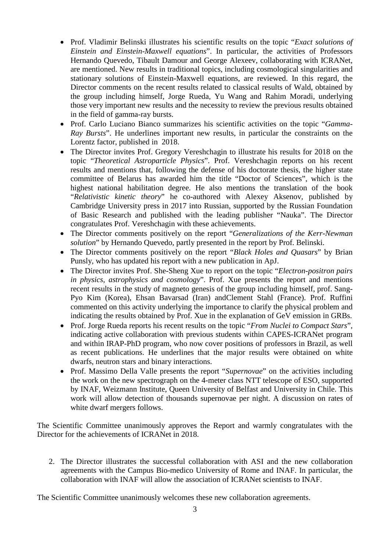- Prof. Vladimir Belinski illustrates his scientific results on the topic "*Exact solutions of Einstein and Einstein-Maxwell equations*". In particular, the activities of Professors Hernando Quevedo, Tibault Damour and George Alexeev, collaborating with ICRANet, are mentioned. New results in traditional topics, including cosmological singularities and stationary solutions of Einstein-Maxwell equations, are reviewed. In this regard, the Director comments on the recent results related to classical results of Wald, obtained by the group including himself, Jorge Rueda, Yu Wang and Rahim Moradi, underlying those very important new results and the necessity to review the previous results obtained in the field of gamma-ray bursts.
- Prof. Carlo Luciano Bianco summarizes his scientific activities on the topic "*Gamma-Ray Bursts*". He underlines important new results, in particular the constraints on the Lorentz factor, published in 2018.
- The Director invites Prof. Gregory Vereshchagin to illustrate his results for 2018 on the topic "*Theoretical Astroparticle Physics*". Prof. Vereshchagin reports on his recent results and mentions that, following the defense of his doctorate thesis, the higher state committee of Belarus has awarded him the title "Doctor of Sciences", which is the highest national habilitation degree. He also mentions the translation of the book "*Relativistic kinetic theory*" he co-authored with Alexey Aksenov, published by Cambridge University press in 2017 into Russian, supported by the Russian Foundation of Basic Research and published with the leading publisher "Nauka". The Director congratulates Prof. Vereshchagin with these achievements.
- The Director comments positively on the report "*Generalizations of the Kerr-Newman solution*" by Hernando Quevedo, partly presented in the report by Prof. Belinski.
- The Director comments positively on the report "*Black Holes and Quasars*" by Brian Punsly, who has updated his report with a new publication in ApJ.
- The Director invites Prof. She-Sheng Xue to report on the topic "*Electron-positron pairs in physics, astrophysics and cosmology*". Prof. Xue presents the report and mentions recent results in the study of magneto genesis of the group including himself, prof. Sang-Pyo Kim (Korea), Ehsan Bavarsad (Iran) andClement Stahl (France). Prof. Ruffini commented on this activity underlying the importance to clarify the physical problem and indicating the results obtained by Prof. Xue in the explanation of GeV emission in GRBs.
- Prof. Jorge Rueda reports his recent results on the topic "*From Nuclei to Compact Stars*", indicating active collaboration with previous students within CAPES-ICRANet program and within IRAP-PhD program, who now cover positions of professors in Brazil, as well as recent publications. He underlines that the major results were obtained on white dwarfs, neutron stars and binary interactions.
- Prof. Massimo Della Valle presents the report "*Supernovae*" on the activities including the work on the new spectrograph on the 4-meter class NTT telescope of ESO, supported by INAF, Weizmann Institute, Queen University of Belfast and University in Chile. This work will allow detection of thousands supernovae per night. A discussion on rates of white dwarf mergers follows.

The Scientific Committee unanimously approves the Report and warmly congratulates with the Director for the achievements of ICRANet in 2018.

2. The Director illustrates the successful collaboration with ASI and the new collaboration agreements with the Campus Bio-medico University of Rome and INAF. In particular, the collaboration with INAF will allow the association of ICRANet scientists to INAF.

The Scientific Committee unanimously welcomes these new collaboration agreements.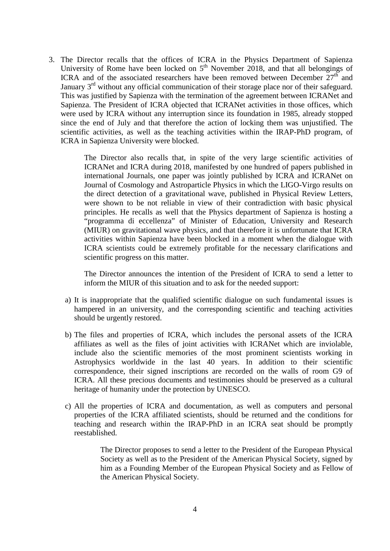3. The Director recalls that the offices of ICRA in the Physics Department of Sapienza University of Rome have been locked on  $5<sup>th</sup>$  November 2018, and that all belongings of ICRA and of the associated researchers have been removed between December  $27<sup>th</sup>$  and January  $3<sup>rd</sup>$  without any official communication of their storage place nor of their safeguard. This was justified by Sapienza with the termination of the agreement between ICRANet and Sapienza. The President of ICRA objected that ICRANet activities in those offices, which were used by ICRA without any interruption since its foundation in 1985, already stopped since the end of July and that therefore the action of locking them was unjustified. The scientific activities, as well as the teaching activities within the IRAP-PhD program, of ICRA in Sapienza University were blocked.

> The Director also recalls that, in spite of the very large scientific activities of ICRANet and ICRA during 2018, manifested by one hundred of papers published in international Journals, one paper was jointly published by ICRA and ICRANet on Journal of Cosmology and Astroparticle Physics in which the LIGO-Virgo results on the direct detection of a gravitational wave, published in Physical Review Letters, were shown to be not reliable in view of their contradiction with basic physical principles. He recalls as well that the Physics department of Sapienza is hosting a "programma di eccellenza" of Minister of Education, University and Research (MIUR) on gravitational wave physics, and that therefore it is unfortunate that ICRA activities within Sapienza have been blocked in a moment when the dialogue with ICRA scientists could be extremely profitable for the necessary clarifications and scientific progress on this matter.

> The Director announces the intention of the President of ICRA to send a letter to inform the MIUR of this situation and to ask for the needed support:

- a) It is inappropriate that the qualified scientific dialogue on such fundamental issues is hampered in an university, and the corresponding scientific and teaching activities should be urgently restored.
- b) The files and properties of ICRA, which includes the personal assets of the ICRA affiliates as well as the files of joint activities with ICRANet which are inviolable, include also the scientific memories of the most prominent scientists working in Astrophysics worldwide in the last 40 years. In addition to their scientific correspondence, their signed inscriptions are recorded on the walls of room G9 of ICRA. All these precious documents and testimonies should be preserved as a cultural heritage of humanity under the protection by UNESCO.
- c) All the properties of ICRA and documentation, as well as computers and personal properties of the ICRA affiliated scientists, should be returned and the conditions for teaching and research within the IRAP-PhD in an ICRA seat should be promptly reestablished.

The Director proposes to send a letter to the President of the European Physical Society as well as to the President of the American Physical Society, signed by him as a Founding Member of the European Physical Society and as Fellow of the American Physical Society.